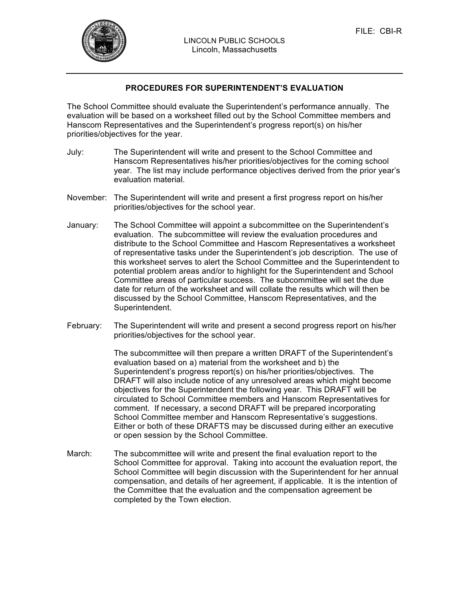

## **PROCEDURES FOR SUPERINTENDENT'S EVALUATION**

The School Committee should evaluate the Superintendent's performance annually. The evaluation will be based on a worksheet filled out by the School Committee members and Hanscom Representatives and the Superintendent's progress report(s) on his/her priorities/objectives for the year.

- July: The Superintendent will write and present to the School Committee and Hanscom Representatives his/her priorities/objectives for the coming school year. The list may include performance objectives derived from the prior year's evaluation material.
- November: The Superintendent will write and present a first progress report on his/her priorities/objectives for the school year.
- January: The School Committee will appoint a subcommittee on the Superintendent's evaluation. The subcommittee will review the evaluation procedures and distribute to the School Committee and Hascom Representatives a worksheet of representative tasks under the Superintendent's job description. The use of this worksheet serves to alert the School Committee and the Superintendent to potential problem areas and/or to highlight for the Superintendent and School Committee areas of particular success. The subcommittee will set the due date for return of the worksheet and will collate the results which will then be discussed by the School Committee, Hanscom Representatives, and the Superintendent.
- February: The Superintendent will write and present a second progress report on his/her priorities/objectives for the school year.

The subcommittee will then prepare a written DRAFT of the Superintendent's evaluation based on a) material from the worksheet and b) the Superintendent's progress report(s) on his/her priorities/objectives. The DRAFT will also include notice of any unresolved areas which might become objectives for the Superintendent the following year. This DRAFT will be circulated to School Committee members and Hanscom Representatives for comment. If necessary, a second DRAFT will be prepared incorporating School Committee member and Hanscom Representative's suggestions. Either or both of these DRAFTS may be discussed during either an executive or open session by the School Committee.

March: The subcommittee will write and present the final evaluation report to the School Committee for approval. Taking into account the evaluation report, the School Committee will begin discussion with the Superintendent for her annual compensation, and details of her agreement, if applicable. It is the intention of the Committee that the evaluation and the compensation agreement be completed by the Town election.